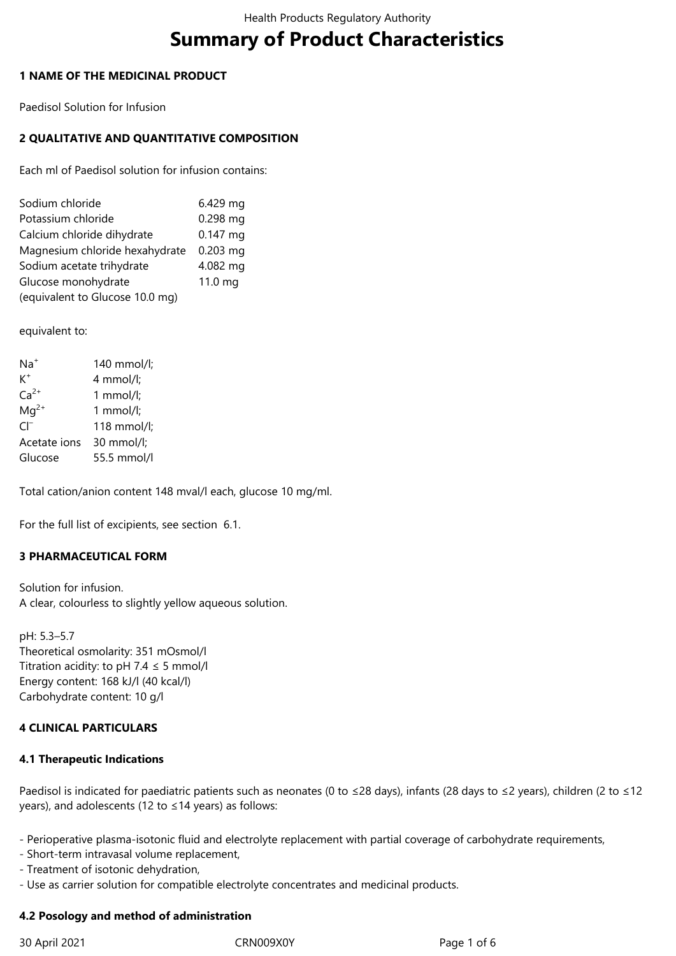# **Summary of Product Characteristics**

## **1 NAME OF THE MEDICINAL PRODUCT**

Paedisol Solution for Infusion

# **2 QUALITATIVE AND QUANTITATIVE COMPOSITION**

Each ml of Paedisol solution for infusion contains:

| Sodium chloride                 | 6.429 mg   |
|---------------------------------|------------|
| Potassium chloride              | $0.298$ mg |
| Calcium chloride dihydrate      | $0.147$ mg |
| Magnesium chloride hexahydrate  | $0.203$ mg |
| Sodium acetate trihydrate       | 4.082 mg   |
| Glucose monohydrate             | 11.0 mg    |
| (equivalent to Glucose 10.0 mg) |            |

equivalent to:

| $Na+$        | 140 mmol/l;           |
|--------------|-----------------------|
| $K^+$        | 4 mmol/l;             |
| $Ca2+$       | 1 $mmol/l;$           |
| $Mq^{2+}$    | 1 mmol/l;             |
| $\cap^-$     | 118 mmol/l;           |
| Acetate ions | $30 \text{ mmol/l}$ ; |
| Glucose      | 55.5 mmol/l           |

Total cation/anion content 148 mval/l each, glucose 10 mg/ml.

For the full list of excipients, see section 6.1.

# **3 PHARMACEUTICAL FORM**

Solution for infusion. A clear, colourless to slightly yellow aqueous solution.

pH: 5.3–5.7 Theoretical osmolarity: 351 mOsmol/l Titration acidity: to pH 7.4  $\leq$  5 mmol/l Energy content: 168 kJ/l (40 kcal/l) Carbohydrate content: 10 g/l

# **4 CLINICAL PARTICULARS**

#### **4.1 Therapeutic Indications**

Paedisol is indicated for paediatric patients such as neonates (0 to ≤28 days), infants (28 days to ≤2 years), children (2 to ≤12 years), and adolescents (12 to ≤14 years) as follows:

- Perioperative plasma-isotonic fluid and electrolyte replacement with partial coverage of carbohydrate requirements,

- Short-term intravasal volume replacement,
- Treatment of isotonic dehydration,
- Use as carrier solution for compatible electrolyte concentrates and medicinal products.

#### **4.2 Posology and method of administration**

30 April 2021 CRN009X0Y Page 1 of 6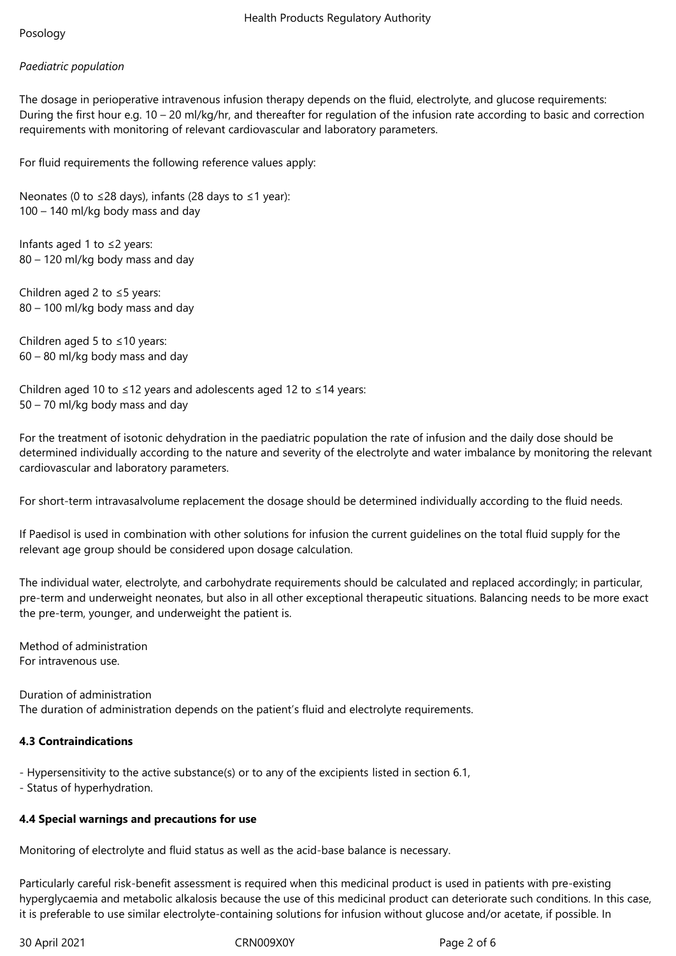# *Paediatric population*

The dosage in perioperative intravenous infusion therapy depends on the fluid, electrolyte, and glucose requirements: During the first hour e.g. 10 – 20 ml/kg/hr, and thereafter for regulation of the infusion rate according to basic and correction requirements with monitoring of relevant cardiovascular and laboratory parameters.

For fluid requirements the following reference values apply:

Neonates (0 to ≤28 days), infants (28 days to ≤1 year): 100 – 140 ml/kg body mass and day

Infants aged 1 to ≤2 years: 80 – 120 ml/kg body mass and day

Children aged 2 to ≤5 years: 80 – 100 ml/kg body mass and day

Children aged 5 to ≤10 years: 60 – 80 ml/kg body mass and day

Children aged 10 to ≤12 years and adolescents aged 12 to ≤14 years: 50 – 70 ml/kg body mass and day

For the treatment of isotonic dehydration in the paediatric population the rate of infusion and the daily dose should be determined individually according to the nature and severity of the electrolyte and water imbalance by monitoring the relevant cardiovascular and laboratory parameters.

For short-term intravasalvolume replacement the dosage should be determined individually according to the fluid needs.

If Paedisol is used in combination with other solutions for infusion the current guidelines on the total fluid supply for the relevant age group should be considered upon dosage calculation.

The individual water, electrolyte, and carbohydrate requirements should be calculated and replaced accordingly; in particular, pre-term and underweight neonates, but also in all other exceptional therapeutic situations. Balancing needs to be more exact the pre-term, younger, and underweight the patient is.

Method of administration For intravenous use.

Duration of administration The duration of administration depends on the patient's fluid and electrolyte requirements.

# **4.3 Contraindications**

- Hypersensitivity to the active substance(s) or to any of the excipients listed in section 6.1,

- Status of hyperhydration.

# **4.4 Special warnings and precautions for use**

Monitoring of electrolyte and fluid status as well as the acid-base balance is necessary.

Particularly careful risk-benefit assessment is required when this medicinal product is used in patients with pre-existing hyperglycaemia and metabolic alkalosis because the use of this medicinal product can deteriorate such conditions. In this case, it is preferable to use similar electrolyte-containing solutions for infusion without glucose and/or acetate, if possible. In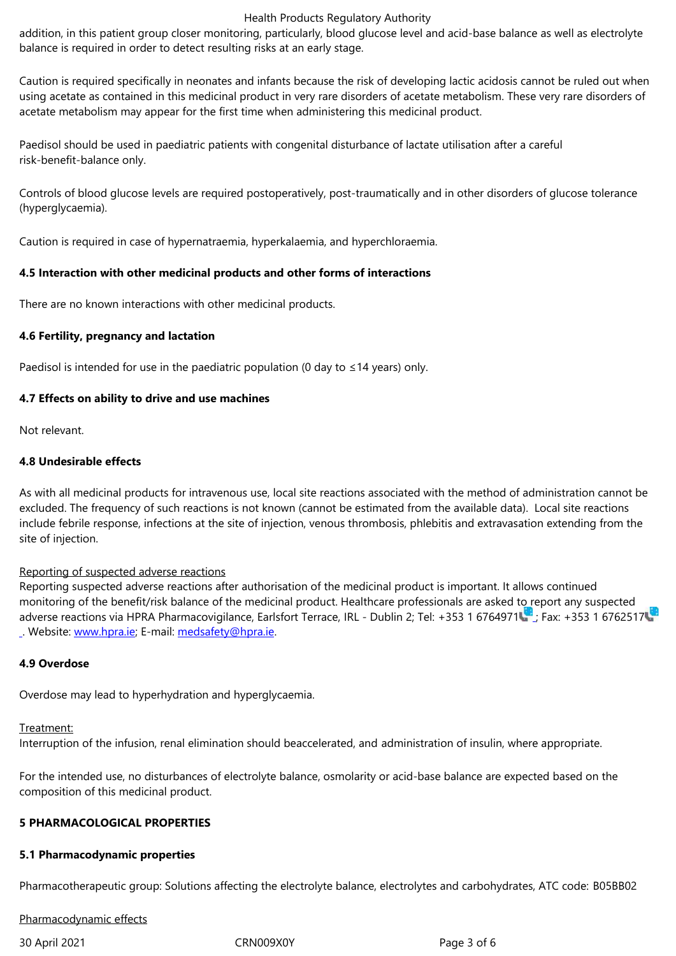Caution is required specifically in neonates and infants because the risk of developing lactic acidosis cannot be ruled out when using acetate as contained in this medicinal product in very rare disorders of acetate metabolism. These very rare disorders of acetate metabolism may appear for the first time when administering this medicinal product.

Paedisol should be used in paediatric patients with congenital disturbance of lactate utilisation after a careful risk-benefit-balance only.

Controls of blood glucose levels are required postoperatively, post-traumatically and in other disorders of glucose tolerance (hyperglycaemia).

Caution is required in case of hypernatraemia, hyperkalaemia, and hyperchloraemia.

## **4.5 Interaction with other medicinal products and other forms of interactions**

There are no known interactions with other medicinal products.

## **4.6 Fertility, pregnancy and lactation**

Paedisol is intended for use in the paediatric population (0 day to  $\leq$  14 years) only.

#### **4.7 Effects on ability to drive and use machines**

Not relevant.

## **4.8 Undesirable effects**

As with all medicinal products for intravenous use, local site reactions associated with the method of administration cannot be excluded. The frequency of such reactions is not known (cannot be estimated from the available data). Local site reactions include febrile response, infections at the site of injection, venous thrombosis, phlebitis and extravasation extending from the site of injection.

#### Reporting of suspected adverse reactions

Reporting suspected adverse reactions after authorisation of the medicinal product is important. It allows continued monitoring of the benefit/risk balance of the medicinal product. Healthcare professionals are asked to report any suspected adverse reactions via HPRA Pharmacovigilance, Earlsfort Terrace, IRL - Dublin 2; Tel: +353 1 6764971 ; Fax: +353 1 6762517 . Website: www.hpra.ie; E-mail: medsafety@hpra.ie.

#### **4.9 Overdose**

Overdose [may lead to h](http://www.hpra.ie/)yperhy[dration and hypergly](mailto:medsafety@hpra.ie)caemia.

#### Treatment:

Interruption of the infusion, renal elimination should beaccelerated, and administration of insulin, where appropriate.

For the intended use, no disturbances of electrolyte balance, osmolarity or acid-base balance are expected based on the composition of this medicinal product.

#### **5 PHARMACOLOGICAL PROPERTIES**

#### **5.1 Pharmacodynamic properties**

Pharmacotherapeutic group: Solutions affecting the electrolyte balance, electrolytes and carbohydrates, ATC code: B05BB02

#### Pharmacodynamic effects

30 April 2021 CRN009X0Y Page 3 of 6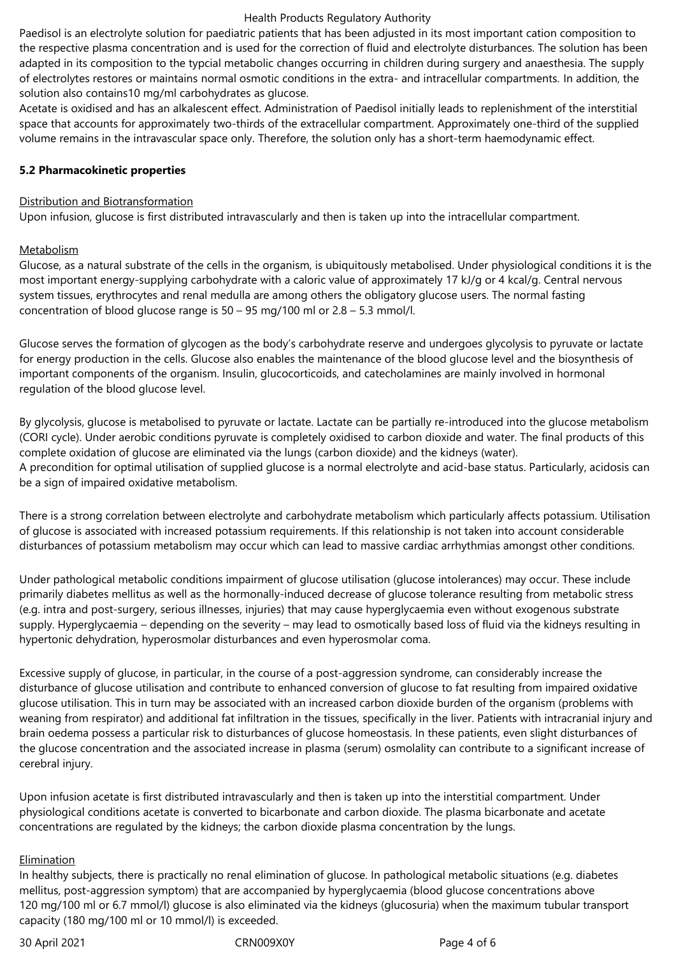#### Health Products Regulatory Authority

Paedisol is an electrolyte solution for paediatric patients that has been adjusted in its most important cation composition to the respective plasma concentration and is used for the correction of fluid and electrolyte disturbances. The solution has been adapted in its composition to the typcial metabolic changes occurring in children during surgery and anaesthesia. The supply of electrolytes restores or maintains normal osmotic conditions in the extra- and intracellular compartments. In addition, the solution also contains10 mg/ml carbohydrates as glucose.

Acetate is oxidised and has an alkalescent effect. Administration of Paedisol initially leads to replenishment of the interstitial space that accounts for approximately two-thirds of the extracellular compartment. Approximately one-third of the supplied volume remains in the intravascular space only. Therefore, the solution only has a short-term haemodynamic effect.

#### **5.2 Pharmacokinetic properties**

#### Distribution and Biotransformation

Upon infusion, glucose is first distributed intravascularly and then is taken up into the intracellular compartment.

#### **Metabolism**

Glucose, as a natural substrate of the cells in the organism, is ubiquitously metabolised. Under physiological conditions it is the most important energy-supplying carbohydrate with a caloric value of approximately 17 kJ/g or 4 kcal/g. Central nervous system tissues, erythrocytes and renal medulla are among others the obligatory glucose users. The normal fasting concentration of blood glucose range is 50 – 95 mg/100 ml or 2.8 – 5.3 mmol/l.

Glucose serves the formation of glycogen as the body's carbohydrate reserve and undergoes glycolysis to pyruvate or lactate for energy production in the cells. Glucose also enables the maintenance of the blood glucose level and the biosynthesis of important components of the organism. Insulin, glucocorticoids, and catecholamines are mainly involved in hormonal regulation of the blood glucose level.

By glycolysis, glucose is metabolised to pyruvate or lactate. Lactate can be partially re-introduced into the glucose metabolism (CORI cycle). Under aerobic conditions pyruvate is completely oxidised to carbon dioxide and water. The final products of this complete oxidation of glucose are eliminated via the lungs (carbon dioxide) and the kidneys (water). A precondition for optimal utilisation of supplied glucose is a normal electrolyte and acid-base status. Particularly, acidosis can be a sign of impaired oxidative metabolism.

There is a strong correlation between electrolyte and carbohydrate metabolism which particularly affects potassium. Utilisation of glucose is associated with increased potassium requirements. If this relationship is not taken into account considerable disturbances of potassium metabolism may occur which can lead to massive cardiac arrhythmias amongst other conditions.

Under pathological metabolic conditions impairment of glucose utilisation (glucose intolerances) may occur. These include primarily diabetes mellitus as well as the hormonally-induced decrease of glucose tolerance resulting from metabolic stress (e.g. intra and post-surgery, serious illnesses, injuries) that may cause hyperglycaemia even without exogenous substrate supply. Hyperglycaemia – depending on the severity – may lead to osmotically based loss of fluid via the kidneys resulting in hypertonic dehydration, hyperosmolar disturbances and even hyperosmolar coma.

Excessive supply of glucose, in particular, in the course of a post-aggression syndrome, can considerably increase the disturbance of glucose utilisation and contribute to enhanced conversion of glucose to fat resulting from impaired oxidative glucose utilisation. This in turn may be associated with an increased carbon dioxide burden of the organism (problems with weaning from respirator) and additional fat infiltration in the tissues, specifically in the liver. Patients with intracranial injury and brain oedema possess a particular risk to disturbances of glucose homeostasis. In these patients, even slight disturbances of the glucose concentration and the associated increase in plasma (serum) osmolality can contribute to a significant increase of cerebral injury.

Upon infusion acetate is first distributed intravascularly and then is taken up into the interstitial compartment. Under physiological conditions acetate is converted to bicarbonate and carbon dioxide. The plasma bicarbonate and acetate concentrations are regulated by the kidneys; the carbon dioxide plasma concentration by the lungs.

#### Elimination

In healthy subjects, there is practically no renal elimination of glucose. In pathological metabolic situations (e.g. diabetes mellitus, post-aggression symptom) that are accompanied by hyperglycaemia (blood glucose concentrations above 120 mg/100 ml or 6.7 mmol/l) glucose is also eliminated via the kidneys (glucosuria) when the maximum tubular transport capacity (180 mg/100 ml or 10 mmol/l) is exceeded.

30 April 2021 CRN009X0Y Page 4 of 6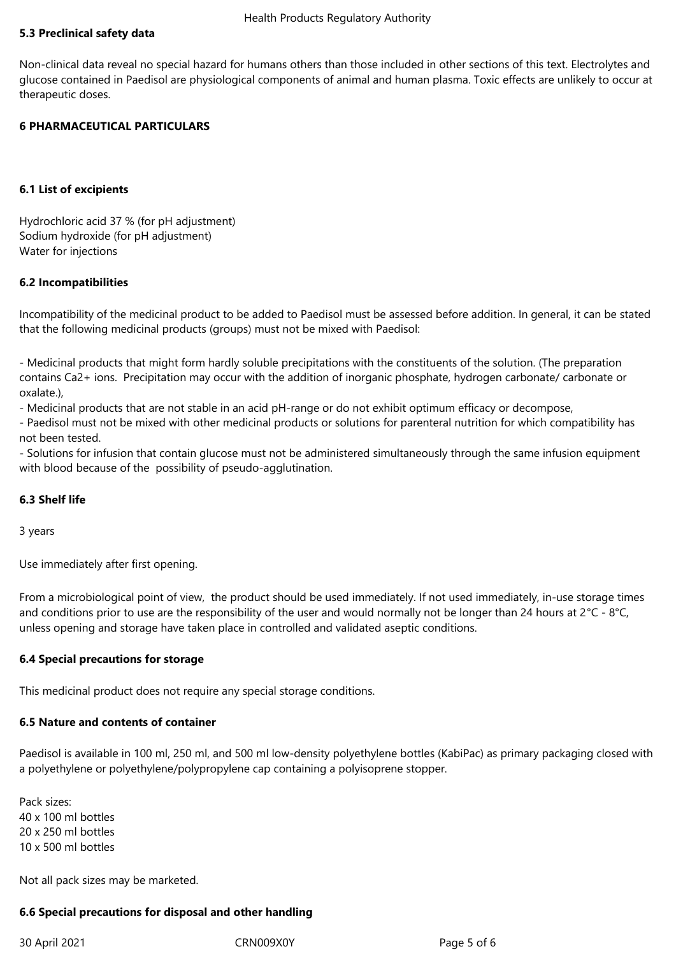#### Health Products Regulatory Authority

## **5.3 Preclinical safety data**

Non-clinical data reveal no special hazard for humans others than those included in other sections of this text. Electrolytes and glucose contained in Paedisol are physiological components of animal and human plasma. Toxic effects are unlikely to occur at therapeutic doses.

## **6 PHARMACEUTICAL PARTICULARS**

## **6.1 List of excipients**

Hydrochloric acid 37 % (for pH adjustment) Sodium hydroxide (for pH adjustment) Water for injections

#### **6.2 Incompatibilities**

Incompatibility of the medicinal product to be added to Paedisol must be assessed before addition. In general, it can be stated that the following medicinal products (groups) must not be mixed with Paedisol:

- Medicinal products that might form hardly soluble precipitations with the constituents of the solution. (The preparation contains Ca2+ ions. Precipitation may occur with the addition of inorganic phosphate, hydrogen carbonate/ carbonate or oxalate.),

- Medicinal products that are not stable in an acid pH-range or do not exhibit optimum efficacy or decompose,

- Paedisol must not be mixed with other medicinal products or solutions for parenteral nutrition for which compatibility has not been tested.

- Solutions for infusion that contain glucose must not be administered simultaneously through the same infusion equipment with blood because of the possibility of pseudo-agglutination.

# **6.3 Shelf life**

3 years

Use immediately after first opening.

From a microbiological point of view, the product should be used immediately. If not used immediately, in-use storage times and conditions prior to use are the responsibility of the user and would normally not be longer than 24 hours at 2°C - 8°C, unless opening and storage have taken place in controlled and validated aseptic conditions.

#### **6.4 Special precautions for storage**

This medicinal product does not require any special storage conditions.

#### **6.5 Nature and contents of container**

Paedisol is available in 100 ml, 250 ml, and 500 ml low-density polyethylene bottles (KabiPac) as primary packaging closed with a polyethylene or polyethylene/polypropylene cap containing a polyisoprene stopper.

Pack sizes: 40 x 100 ml bottles 20 x 250 ml bottles 10 x 500 ml bottles

Not all pack sizes may be marketed.

# **6.6 Special precautions for disposal and other handling**

#### 30 April 2021 CRN009X0Y Page 5 of 6